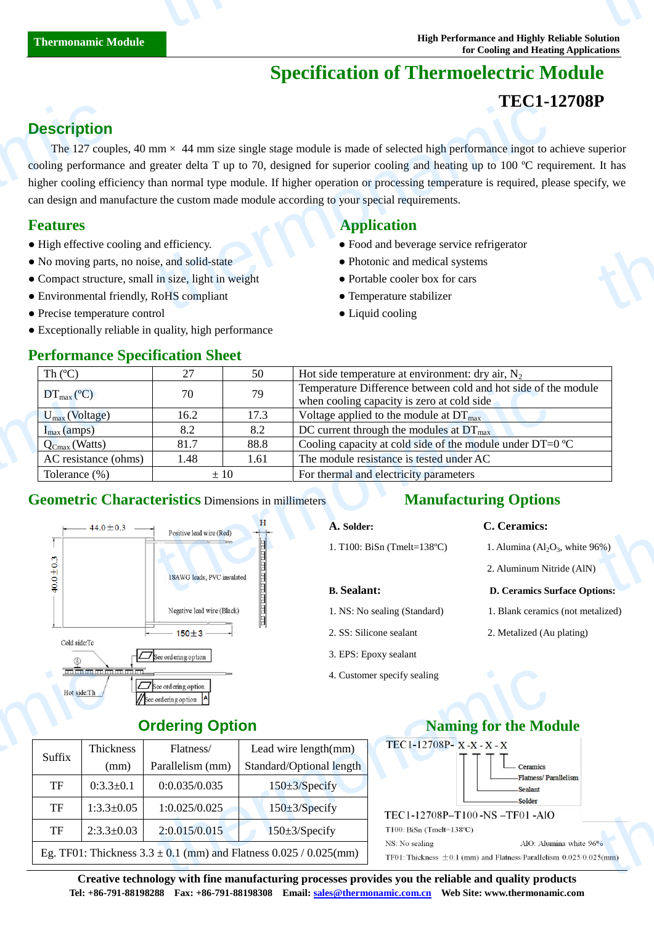# **Specification of Thermoelectric Module**

## **TEC1-12708P**

## **Description**

The 127 couples, 40 mm  $\times$  44 mm size single stage module is made of selected high performance ingot to achieve superior cooling performance and greater delta T up to 70, designed for superior cooling and heating up to 100  $\degree$ C requirement. It has higher cooling efficiency than normal type module. If higher operation or processing temperature is required, please specify, we can design and manufacture the custom made module according to your special requirements. **Description**<br>The 127 coup<br>cooling performan<br>higher cooling efficant design and ma<br>**Features**<br>• High effective co<br>• No moving parts<br>• Compact structu<br>• Environmental f  $\text{Im } x$  44 mm size single stage module is made of selected high performance ingot to a<br>greater delta T up to 70, designed for superior cooling and heating up to 100  $\text{C}$  required, ple<br>han normal type module. If higher **thermonal started for the started for the started for the started for the started for the started for the started for the started for the started for the started for the started for the started for the started for the sta** 

Suffix

Thickness (mm)

- 
- No moving parts, no noise, and solid-state Photonic and medical systems
- Compact structure, small in size, light in weight Portable cooler box for cars
- Environmental friendly, RoHS compliant Temperature stabilizer
- Precise temperature control Liquid cooling
- Exceptionally reliable in quality, high performance

#### **Performance Specification Sheet**

#### **Features Application Application**

- High effective cooling and efficiency. Food and beverage service refrigerator
	-
	-
	-
	-

| Th $(C)$                                                                          | 27                                            | 50       | Hot side temperature at environment: dry air, $N_2$                                                          |
|-----------------------------------------------------------------------------------|-----------------------------------------------|----------|--------------------------------------------------------------------------------------------------------------|
| $DT_{\text{max}}(\mathbb{C})$                                                     | 70                                            | 79       | Temperature Difference between cold and hot side of the module<br>when cooling capacity is zero at cold side |
| $U_{\text{max}}$ (Voltage)                                                        | 16.2                                          | 17.3     | Voltage applied to the module at $DT_{\text{max}}$                                                           |
| $I_{max}(amps)$                                                                   | 8.2                                           | 8.2      | DC current through the modules at $DT_{\text{max}}$                                                          |
| $Q_{Cmax}$ (Watts)                                                                | 81.7                                          | 88.8     | Cooling capacity at cold side of the module under DT=0 $\mathbb{C}$                                          |
| AC resistance (ohms)                                                              | 1.48                                          | 1.61     | The module resistance is tested under AC                                                                     |
| Tolerance $(\%)$                                                                  |                                               | $\pm 10$ | For thermal and electricity parameters                                                                       |
|                                                                                   |                                               |          |                                                                                                              |
| <b>Geometric Characteristics Dimensions in millimeters</b><br>$-44.0 \pm 0.3 - +$ |                                               |          | <b>Manufacturing Options</b><br>C. Ceramics:<br>A. Solder:                                                   |
|                                                                                   | Positive lead wire (Red)<br><b>CONTRACTOR</b> |          | 1. T100: BiSn (Tmelt=138 $\mathbb{C}$ )<br>1. Alumina $\left( \text{Al}_2\text{O}_3 \right)$ , white 96%)    |
|                                                                                   | 18AWG leads, PVC insulated                    |          | 2. Aluminum Nitride (AlN)                                                                                    |

#### **Geometric Characteristics** Dimensions in millimeters



#### **Manufacturing Options**

#### **A. Solder: C. Ceramics:**

- **B. Sealant: D. Ceramics Surface Options:**
- 1. NS: No sealing (Standard) 1. Blank ceramics (not metalized)
- 
- 3. EPS: Epoxy sealant
- 4. Customer specify sealing

### **Naming for the Module**



**Creative technology with fine manufacturing processes provides you the reliable and quality products Tel: +86-791-88198288 Fax: +86-791-88198308 Email: sales@thermonamic.com.cn Web Site: www.thermonamic.com**  $\frac{5\%}{25 \text{(mm)}}$ 

# 2. Aluminum Nitride (AlN)

amics

2. SS: Silicone sealant 2. Metalized (Au plating)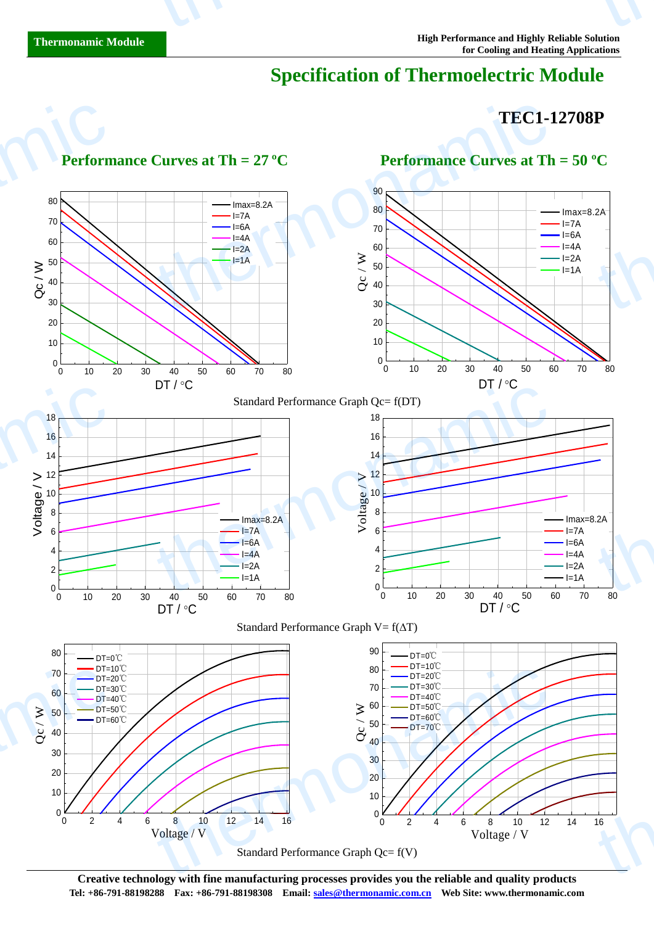# **Specification of Thermoelectric Module**

### **TEC1-12708P**



**Creative technology with fine manufacturing processes provides you the reliable and quality products Tel: +86-791-88198288 Fax: +86-791-88198308 Email: sales@thermonamic.com.cn Web Site: www.thermonamic.com**